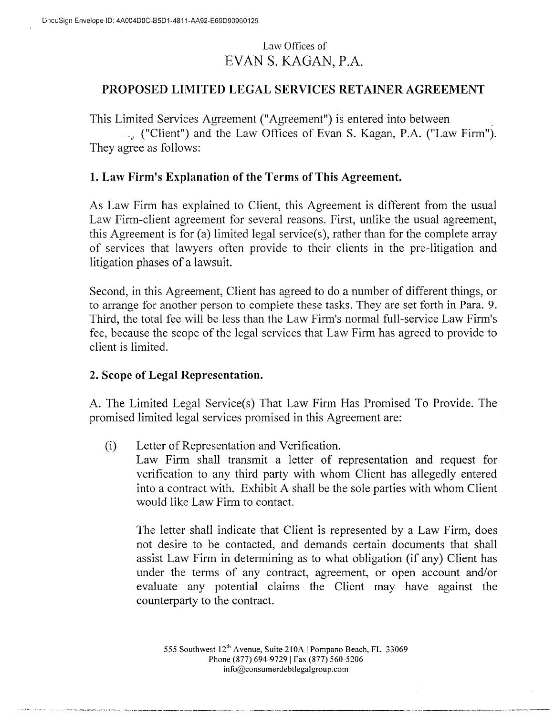# Law Offices of EVAN S. KAGAN, P.A.

## **PROPOSED LIMITED LEGAL SERVICES RETAINER AGREEMENT**

This Limited Services Agreement ("Agreement") is entered into between

..., ("Client") and the Law Offices of Evan S. Kagan, P.A. ("Law Firm"). They agree as follows:

### **1. Law Firm's Explanation of the Terms of This Agreement.**

As Law Firm has explained to Client, this Agreement is different from the usual Law Firm-client agreement for several reasons. First, unlike the usual agreement, this Agreement is for (a) limited legal service(s), rather than for the complete array of services that lawyers often provide to their clients in the pre-litigation and litigation phases of a lawsuit.

Second, in this Agreement, Client has agreed to do a number of different things, or to arrange for another person to complete these tasks. They are set forth in Para. 9. Third, the total fee will be less than the Law Firm's normal full-service Law Firm's fee, because the scope of the legal services that Law Firm has agreed to provide to client is limited.

### **2. Scope of Legal Representation.**

A. The Limited Legal Service(s) That Law Firm Has Promised To Provide. The promised limited legal services promised in this Agreement are:

(i) Letter of Representation and Verification.

Law Firm shall transmit a letter of representation and request for verification to any third party with whom Client has allegedly entered into a contract with. Exhibit A shall be the sole parties with whom Client would like Law Firm to contact.

The letter shall indicate that Client is represented by a Law Firm, does not desire to be contacted, and demands certain documents that shall assist Law Firm in determining as to what obligation (if any) Client has under the terms of any contract, agreement, or open account and/or evaluate any potential claims the Client may have against the counterparty to the contract.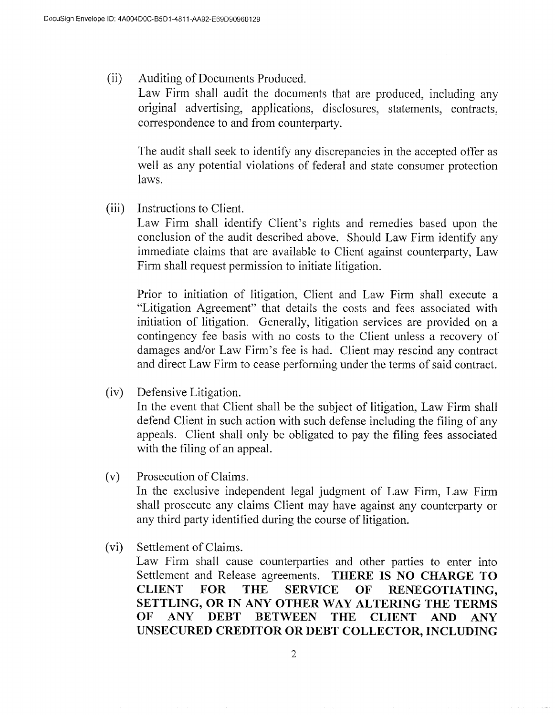$(ii)$ Auditing of Documents Produced.

> Law Firm shall audit the documents that are produced, including any original advertising, applications, disclosures, statements, contracts, correspondence to and from counterparty.

> The audit shall seek to identify any discrepancies in the accepted offer as well as any potential violations of federal and state consumer protection laws.

 $(iii)$ Instructions to Client.

> Law Firm shall identify Client's rights and remedies based upon the conclusion of the audit described above. Should Law Firm identify any immediate claims that are available to Client against counterparty, Law Firm shall request permission to initiate litigation.

> Prior to initiation of litigation, Client and Law Firm shall execute a "Litigation Agreement" that details the costs and fees associated with initiation of litigation. Generally, litigation services are provided on a contingency fee basis with no costs to the Client unless a recovery of damages and/or Law Firm's fee is had. Client may rescind any contract and direct Law Firm to cease performing under the terms of said contract.

(iv) Defensive Litigation.

In the event that Client shall be the subject of litigation, Law Firm shall defend Client in such action with such defense including the filing of any appeals. Client shall only be obligated to pay the filing fees associated with the filing of an appeal.

(v) Prosecution of Claims.

In the exclusive independent legal judgment of Law Firm, Law Firm shall prosecute any claims Client may have against any counterparty or any third party identified during the course of litigation.

(vi) Settlement of Claims. Law Firm shall cause counterparties and other parties to enter into Settlement and Release agreements. **THERE IS NO CHARGE TO** CLIENT FOR THE SERVICE OF RENEGOTIATING, **SETTLING, OR IN ANY OTHER WAY ALTERING THE TERMS** OF ANY DEBT BETWEEN THE CLIENT AND ANY **UNSECURED CREDITOR OR DEBT COLLECTOR, INCLUDING**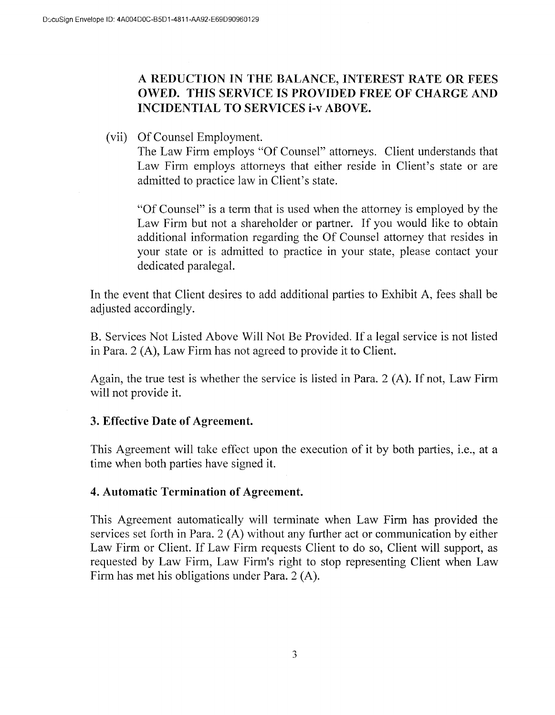# **A REDUCTION IN TFIE BALANCE, INTEREST RATE OR I'EES OWED. THIS SERVICE IS PROVIDED FREE OF CHARGE AND INCIDENTIAL TO SERVICES i-v ABOVE.**

(vii) Of Counsel Employment.

The Law Firm employs "Of Counsel" attorneys. Client understands that Law Firm employs attorneys that either reside in Client's state or are admitted to practice law in Client's state.

"Of Counsel" is a term that is used when the attorney is employed by the Law Firm but not a shareholder or partner. If you would like to obtain additional information regarding the Of Counsel attorney that resides in your state or is admitted to practice in your state, please contact your dedicated paralegal.

In the event that Client desires to add additional parties to Exhibit A, fees shall be adjusted accordingly.

B. Services Not Listed Above Will Not Be Provided. If a legal service is not listed in Para. 2 (A), Law Firm has not agreed to provide it to Client.

Again, the true test is whether the service is listed in Para. 2 (A). If not, Law Firm will not provide it.

## 3. **Effective Date of Agreement.**

This Agreement will take effect upon the execution of it by both parties, i.e., at a time when both parties have signed it.

### **4. Automatic Termination of Agreement.**

This Agreement automatically will terminate when Law Firm has provided the services set forth in Para. 2 (A) without any further act or communication by either Law Firm or Client. If Law Firm requests Client to do so, Client will support, as requested by Law Firm, Law Firm's right to stop representing Client when Law Firm has met his obligations under Para. 2 (A).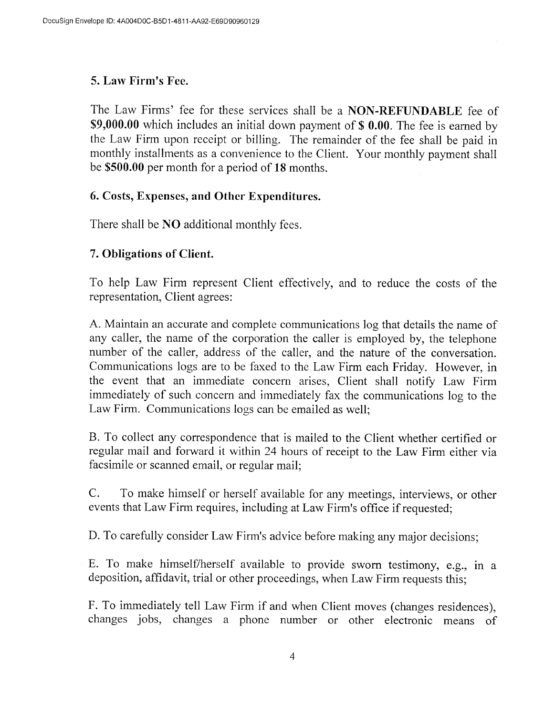# 5. **Law Firm's Fee.**

The Law Firms' fee for these services shall be a NON-REFUNDABLE fee of \$9,000.00 which includes an initial down payment of \$0.00. The fee is earned by the Law Firm upon receipt or billing. The remainder of the fee shall be paid in monthly installments as a convenience to the Client. Your monthly payment shall be \$500.00 per month for a period of 18 months.

## **6. Costs, Expenses, and Other Expenditures.**

There shall be **NO** additional monthly fees.

# 7. Obligations of **Client.**

To help Law Firm represent Client effectively, and to reduce the costs of the representation, Client agrees:

A. Maintain an accurate and complete communications log that details the name of any caller, the name of the corporation the caller is employed by, the telephone number of the caller, address of the caller, and the nature of the conversation. Communications logs are to be faxed to the Law Firm each Friday. However, in the event that an immediate concern arises, Client shall notify Law Firm immediately of such concern and immediately fax the communications log to the Law Firm. Communications logs can be emailed as well;

B. To collect any correspondence that is mailed to the Client whether certified or regular mail and forward it within 24 hours of receipt to the Law Firm either via facsimile or scanned email, or regular mail;

C. To make himself or herself available for any meetings, interviews, or other events that Law Firm requires, including at Law Firm's office if requested;

D. To carefully consider Law Firm's advice before making any major decisions;

E. To make himself/herself available to provide sworn testimony, e.g., in a deposition, affidavit, trial or other proceedings, when Law Firm requests this;

F. To immediately tell Law Firm if and when Client moves (changes residences), changes jobs, changes a phone number or other electronic means of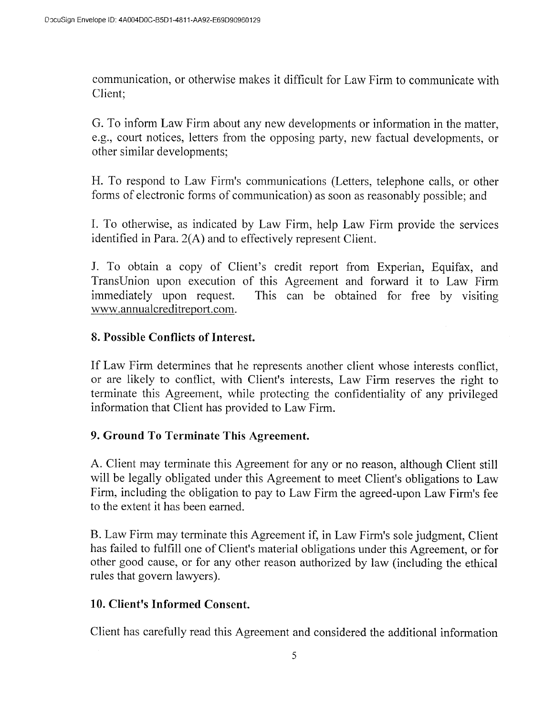communication, or otherwise makes it difficult for Law Firm to communicate with Client;

G. To inform Law Firm about any new developments or information in the matter, e.g., court notices, letters from the opposing party, new factual developments, or other similar developments;

H. To respond to Law Firm's communications (Letters, telephone calls, or other forms of electronic forms of communication) as soon as reasonably possible; and

I. To otherwise, as indicated by Law Firm, help Law Firm provide the services identified in Para. 2(A) and to effectively represent Client.

J. To obtain a copy of Client's credit report from Experian, Equifax, and TransUnion upon execution of this Agreement and forward it to Law Firm immediately upon request. This can be obtained for free by visiting www.annualcreditreport.com.

## **8. Possible Conflicts of Interest.**

If Law Firm determines that he represents another client whose interests conflict, or are likely to conflict, with Client's interests, Law Firm reserves the right to terminate this Agreement, while protecting the confidentiality of any privileged information that Client has provided to Law Firm.

## **9. Ground To Terminate This Agreement.**

A. Client may terminate this Agreement for any or no reason, although Client still will be legally obligated under this Agreement to meet Client's obligations to Law Firm, including the obligation to pay to Law Firm the agreed-upon Law Firm's fee to the extent it has been earned.

B. Law Firm may terminate this Agreement if, in Law Firm's sole judgment, Client has failed to fulfill one of Client's material obligations under this Agreement, or for other good cause, or for any other reason authorized by law (including the ethical rules that govern lawyers).

## 10. **Client's Informed Consent.**

Client has carefully read this Agreement and considered the additional information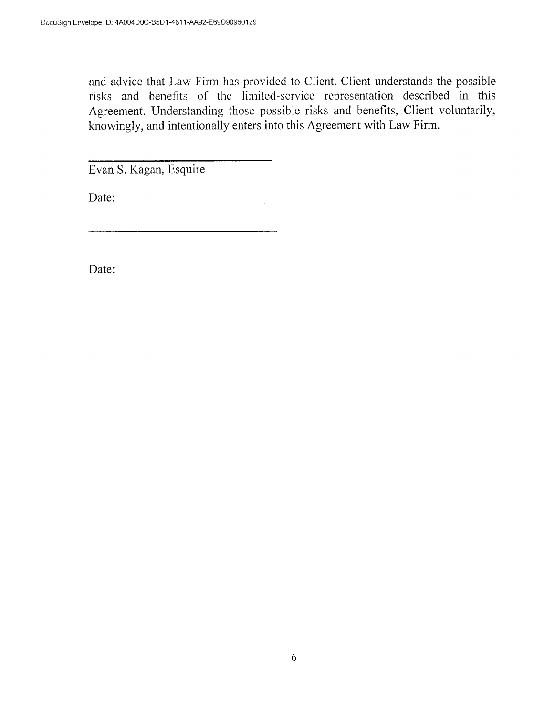and advice that Law Firm has provided to Client. Client understands the possible risks and benefits of the limited-service representation described in this Agreement. Understanding those possible risks and benefits, Client voluntarily, knowingly, and intentionally enters into this Agreement with Law Firm.

Evan S. Kagan, Esquire

Date:

Date: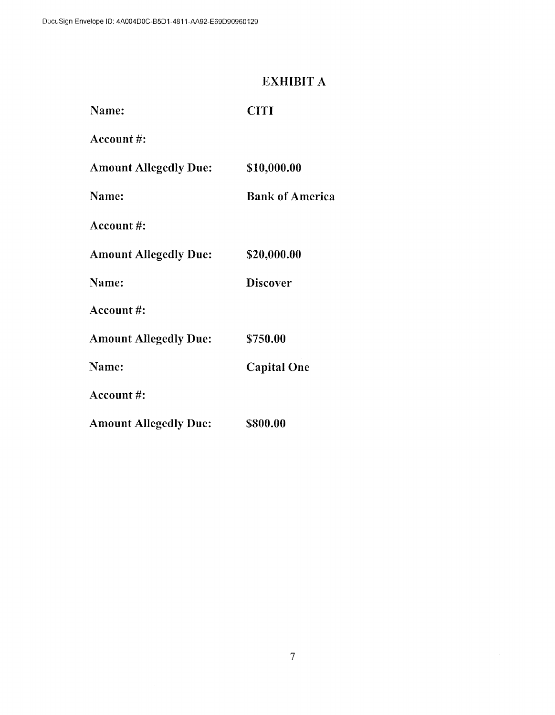# **r.XHIBIT A**

| Name:                        | <b>CITI</b>            |
|------------------------------|------------------------|
| Account #:                   |                        |
| <b>Amount Allegedly Due:</b> | \$10,000.00            |
| Name:                        | <b>Bank of America</b> |
| Account#:                    |                        |
| <b>Amount Allegedly Due:</b> | \$20,000.00            |
| Name:                        | <b>Discover</b>        |
| Account #:                   |                        |
| <b>Amount Allegedly Due:</b> | \$750.00               |
| Name:                        | <b>Capital One</b>     |
| Account #:                   |                        |
| <b>Amount Allegedly Due:</b> | \$800.00               |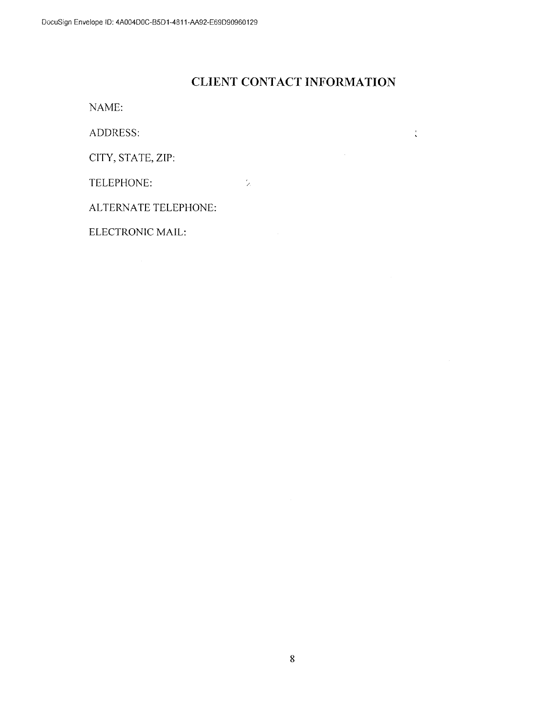# **CLIENT CONTACT INFORMATION**

 $\mathbb{Z}^2$ 

 $\frac{1}{\sqrt{2}}$ 

NAME:

ADDRESS:

CITY, STATE, ZIP:

TELEPHONE:

ALTERNATE TELEPHONE:

ELECTRONIC MAIL: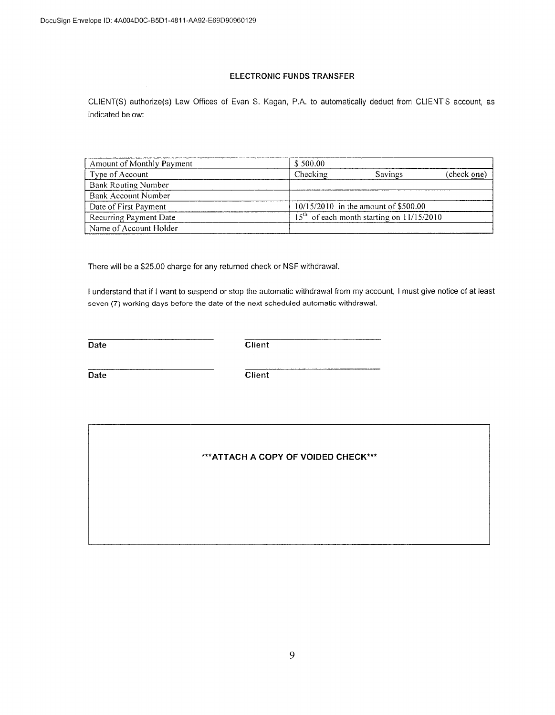#### **ELECTRONIC FUNDS TRANSFER**

CLIENT(S) authorize(s) Law Offices of Evan S. Kagan, P.A. to automatically deduct from CLIENT'S account, as indicated below:

| Amount of Monthly Payment  | \$500.00                                      |                |             |
|----------------------------|-----------------------------------------------|----------------|-------------|
| Type of Account            | Checking                                      | <b>Savings</b> | (check one) |
| <b>Bank Routing Number</b> |                                               |                |             |
| <b>Bank Account Number</b> |                                               |                |             |
| Date of First Payment      | 10/15/2010 in the amount of \$500.00          |                |             |
| Recurring Payment Date     | $15th$ of each month starting on $11/15/2010$ |                |             |
| Name of Account Holder     |                                               |                |             |

There will be a \$25.00 charge for any returned check or NSF withdrawal.

I understand that if I want to suspend or stop the automatic withdrawal from my account, I must give notice of at least seven (7) working days before the date of the next scheduled automatic withdrawal.

**Date Client** 

Date **Client** 

#### **'\*"ATTACH A COPY OF VOIDED CHECK \*'\***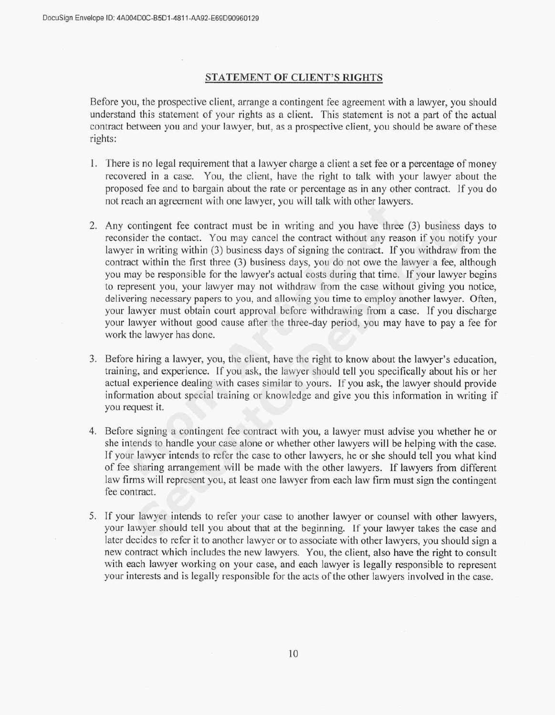#### **STATEMENT OF CLIENT'S RIGHTS**

Before you, the prospective client, arrange a contingent fee agreement with a lawyer, you should understand this statement of your rights as a client. This statement is not a part of the actual contract between you and your lawyer, but, as a prospective client, you should be aware of these rights:

- There is no legal requirement that a lawyer charge a client a set fee or a percentage of money recovered in a case. You, the client, have the right to talk with your lawyer about the proposed fee and to bargain about the rate or percentage as in any other contract. If you do not reach an agreement with one lawyer, you will talk with other lawyers.
- Any contingent fee contract must be in writing and you have three (3) business days to reconsider the contact. You may cancel the contract without any reason if you notify your lawyer in writing within (3) business days of signing the contract. If you withdraw from the contract within the first three (3) business days, you do not owe the lawyer a fee, although you may be responsible for the lawyer's actual costs during that time. If your lawyer begins to represent you, your lawyer may not withdraw from the case without giving you notice, delivering necessary papers to you, and allowing you time to employ another lawyer. Often, your lawyer must obtain court approval before withdrawing from a case. If you discharge your lawyer without good cause after the three-day period, you may have to pay a fee for work the lawyer has done.
- Before hiring a lawyer, you, the client, have the right to know about the lawyer's education, training, and experience. If you ask, the lawyer should tell you specifically about his or her actual experience dealing with cases similar to yours. If you ask, the lawyer should provide information about special training or knowledge and give you this information in writing if you request it.
- Before signing a contingent fee contract with you, a lawyer must advise you whether he or she intends to handle your case alone or whether other lawyers will be helping with the case. If your lawyer intends to refer the case to other lawyers, he or she should tell you what kind of fee sharing arrangement will be made with the other lawyers. If lawyers from different law firms will represent you, at least one lawyer from each law firm must sign the contingent fee contract.
- If your lawyer intends to refer your case to another lawyer or counsel with other lawyers, your lawyer should tell you about that at the beginning. If your lawyer takes the case and later decides to refer it to another lawyer or to associate with other lawyers, you should sign a new contract which includes the new lawyers. You, the client, also have the right to consult with each lawyer working on your case, and each lawyer is legally responsible to represent your interests and is legally responsible for the acts of the other lawyers involved in the case.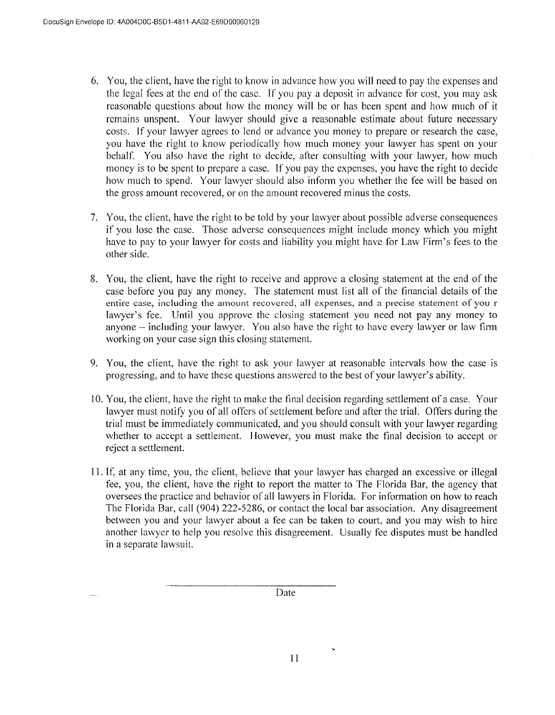- You, the client, have the right to know in advance how you will need to pay the expenses and the legal fees at the end of the case. If you pay a deposit in advance for cost, you may ask reasonable questions about how the money will be or has been spent and how much of it remains unspent. Your lawyer should give a reasonable estimate about future necessary costs. If your lawyer agrees to lend or advance you money to prepare or research the case, you have the right to know periodically how much money your lawyer has spent on your behalf. You also have the right to decide, after consulting with your lawyer, how much money is to be spent to prepare a case. If you pay the expenses, you have the right to decide how much to spend. Your lawyer should also inform you whether the fee will be based on the gross amount recovered, or on the amount recovered minus the costs.
- 7. You, the client, have the right to be told by your lawyer about possible adverse consequences if you lose the case. Those adverse consequences might include money which you might have to pay to your lawyer for costs and liability you might have for Law Firm's fees to the other side.
- You, the client, have the right to receive and approve a closing statement at the end of the case before you pay any money. The statement must list all of the financial details of the **entire** case, **including the amount recovered, all expenses, and a precise statement of you r** lawyer's fee. Until you approve the closing statement you need not pay any money to anyone — including your lawyer. You also have the right to have every lawyer or law firm working on your case sign this closing statement.
- You, the client, have the right to ask your lawyer at reasonable intervals how the case is progressing, and to have these questions answered to the best of your lawyer's ability.
- 10. You, the client, have the right to make the final decision regarding settlement of a case. Your lawyer must notify you of all offers of settlement before and after the trial. Offers during the trial must be immediately communicated, and you should consult with your lawyer regarding whether to accept a settlement. However, you must make the final decision to accept or reject a settlement.
- 11. If, at any time, you, the client, believe that your lawyer has charged an excessive or illegal fee, you, the client, have the right to report the matter to The Florida Bar, the agency that oversees the practice and behavior of all lawyers in Florida. For information on how to reach The Florida Bar, call (904) 222-5286, or contact the local bar association. Any disagreement between you and your lawyer about a fee can be taken to court, and you may wish to hire another lawyer to help you resolve this disagreement. Usually fee disputes must be handled in a separate lawsuit.

Date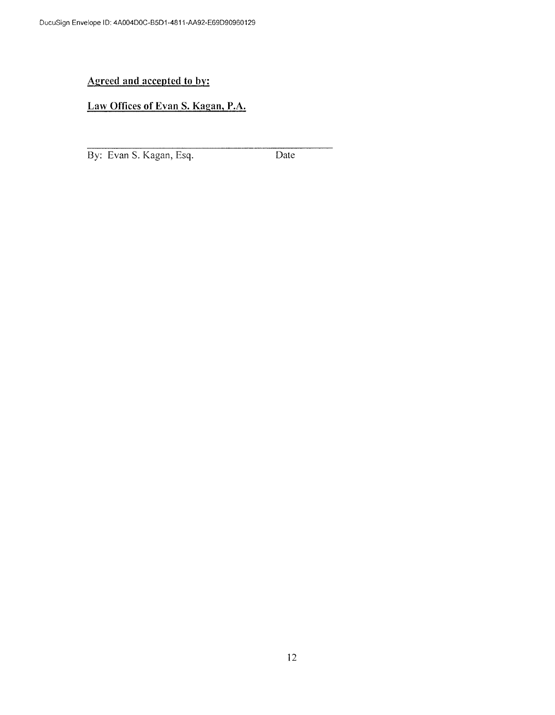### **Agreed and accepted to by:**

# **Law Offices of Evan S. Kagan, P.A.**

By: Evan S. Kagan, Esq. Date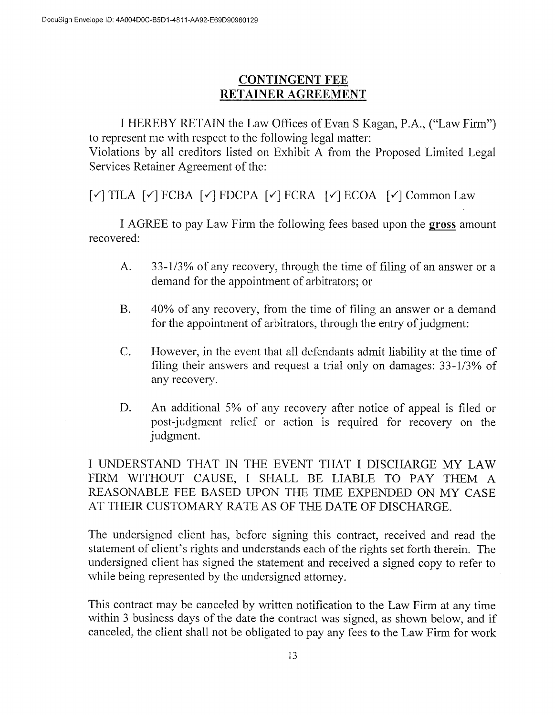# **CONTINGENT EEE RETAINER AGREEMENT**

I HEREBY RETAIN the Law Offices of Evan S Kagan, P.A., ("Law Firm" ) to represent me with respect to the following legal matter: Violations by all creditors listed on Exhibit A from the Proposed Limited Legal Services Retainer Agreement of the:

[<] TILA [<] FCBA [<] FDCPA [<] FCRA [~] ECOA [<] Common Law

I AGREE to pay Law Firm the following fees based upon the gross amount recovered:

- A. 33-1/3% of any recovery, through the time of filing of an answer or a demand for the appointment of arbitrators; or
- B. 40% of any recovery, from the time of filing an answer or a demand for the appointment of arbitrators, through the entry of judgment:
- C. However, in the event that all defendants admit liability at the time of filing their answers and request a trial only on damages: 33-1/3% of any recovery.
- D. An additional 5% of any recovery after notice of appeal is filed or post-judgment relief or action is required for recovery on the judgment.

I UNDERSTAND THAT IN THE EVENT THAT I DISCHARGE MY LAW FIRM WITHOUT CAUSE, I SHALL BE LIABLE TO PAY THEM A REASONABLE FEE BASED UPON THE TIME EXPENDED ON MY CASE AT THEIR CUSTOMARY RATE AS OF THE DATE OF DISCHARGE.

The undersigned client has, before signing this contract, received and read the statement of client's rights and understands each of the rights set forth therein. The undersigned client has signed the statement and received a signed copy to refer to while being represented by the undersigned attorney.

This contract may be canceled by written notification to the Law Firm at any time within 3 business days of the date the contract was signed, as shown below, and if canceled, the client shall not be obligated to pay any fees to the Law Firm for work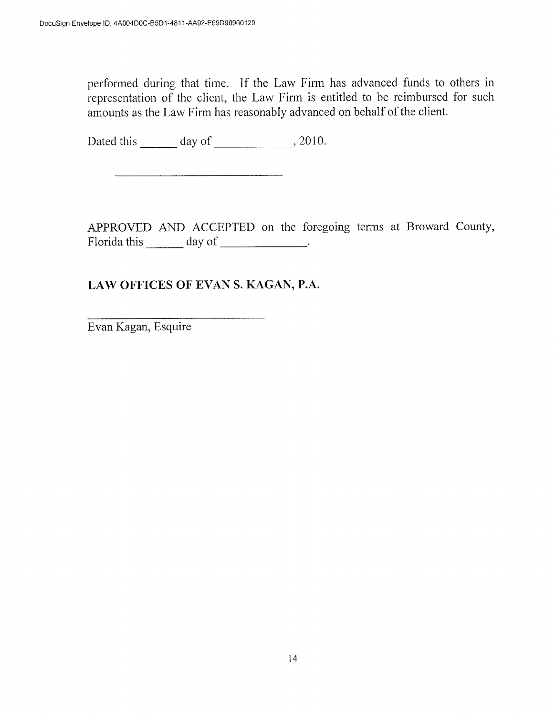performed during that time. If the Law Firm has advanced funds to others in representation of the client, the Law Firm is entitled to be reimbursed for such amounts as the Law Firm has reasonably advanced on behalf of the client.

Dated this  $\qquad \qquad$  day of  $\qquad \qquad$  2010.

APPROVED AND ACCEPTED on the foregoing terms at Broward County, Florida this \_\_\_\_\_\_ day of \_\_\_\_\_\_\_\_\_\_\_\_\_.

# **LAW OFFICES OF EVAN** S. **KAGAN, P.A.**

Evan Kagan, Esquire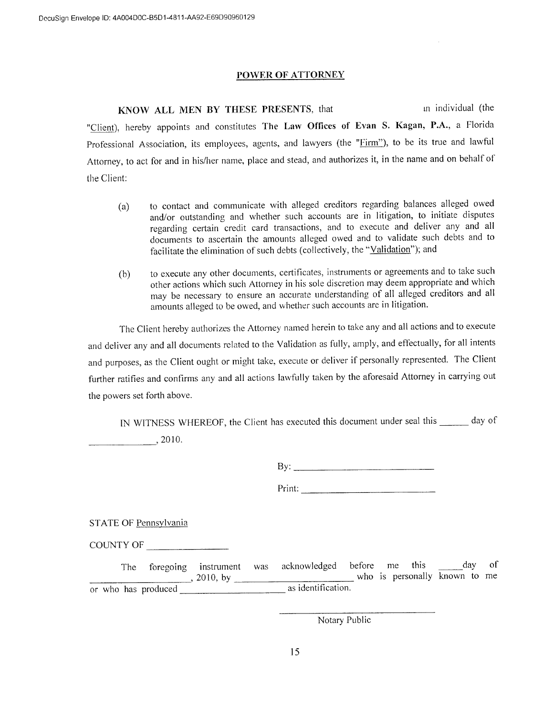#### **POWER OF ATTORNEY**

**KNOW ALL MEN BY THESE PRESENTS, that** in individual (the "Client), hereby appoints and constitutes **The Law Oflices** of **Evan** S. **Kagan, P.A.,** a Florida Professional Association, its employees, agents, and lawyers (the "Firm"), to be its true and lawful Attorney, to act for and in his/her name, place and stead, and authorizes it, in the name and on behalf of the Client:

- (a) to contact and communicate with alleged creditors regarding balances alleged owed and/or outstanding and whether such accounts are in litigation, to initiate disputes regarding certain credit card transactions, and to execute and deliver any and all documents to ascertain the amounts alleged owed and to validate such debts and to facilitate the elimination of such debts (collectively, the "Validation"); and
- (b) to execute any other documents, certificates, instruments or agreements and to take such other actions which such Attorney in his sole discretion may deem appropriate and which may be necessary to ensure an accurate understanding of all alleged creditors and all amounts alleged to be owed, and whether such accounts are in litigation.

The Client hereby authorizes the Attorney named herein to take any and all actions and to execute and deliver any and all documents related to the Validation as fully, amply, and effectually, for all intents and purposes, as the Client ought or might take, execute or deliver if personally represented. The Client further ratifies and confirms any and all actions lawfully taken by the aforesaid Attorney in carrying out the powers set forth above.

IN WITNESS WHEREOF, the Client has executed this document under seal this \_\_\_\_\_\_ day of , 2010.

| By: |  |
|-----|--|
|-----|--|

Print:

STATE OF Pennsylvania

COUNTY OF

The foregoing instrument was acknowledged before me this day of who is personally known to me , 2010, by  $\sim$   $\sim$   $\sim$   $\sim$   $\sim$   $\sim$  who is personally known to me or who has produced as identification.

Notary Public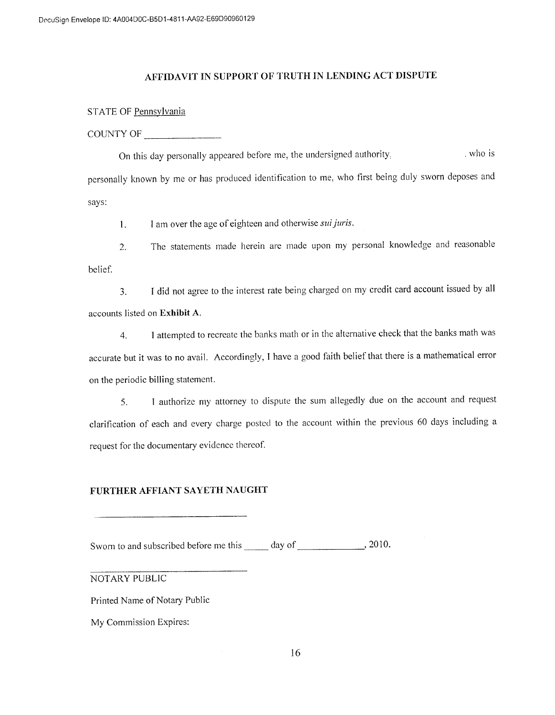### **AFI IDAVIT IN SUPPORT OF I'RUTH IN LENDING ACT DISPUTE**

#### STATE OF Pennsylvania

COUNTY OF

On this day personally appeared before me, the undersigned authority. The same who is personally known by me or has produced identification to me, who first being duly sworn deposes and says:

I am over the age of eighteen and otherwise *sui juris*.  $1.$ 

The statements made herein are made upon my personal knowledge and reasonable  $\overline{2}$ .

belief.

3. I did not agree to the interest rate being charged on my credit card account issued by all accounts listed on **Exhibit** A.

4. I attempted to recreate the banks math or in the alternative check that the banks math was accurate but it was to no avail. Accordingly, I have a good faith belief that there is a mathematical error on the periodic billing statement.

5. I authorize my attorney to dispute the sum allegedly due on the account and request clarification of each and every charge posted to the account within the previous 60 days including a request for the documentary evidence thereof.

#### **FURTHER AFFIANT SAYETH NAUGHT**

Sworn to and subscribed before me this day of , 2010.

NOTARY PUBLIC

Printed Name of Notary Public

My Commission Expires: